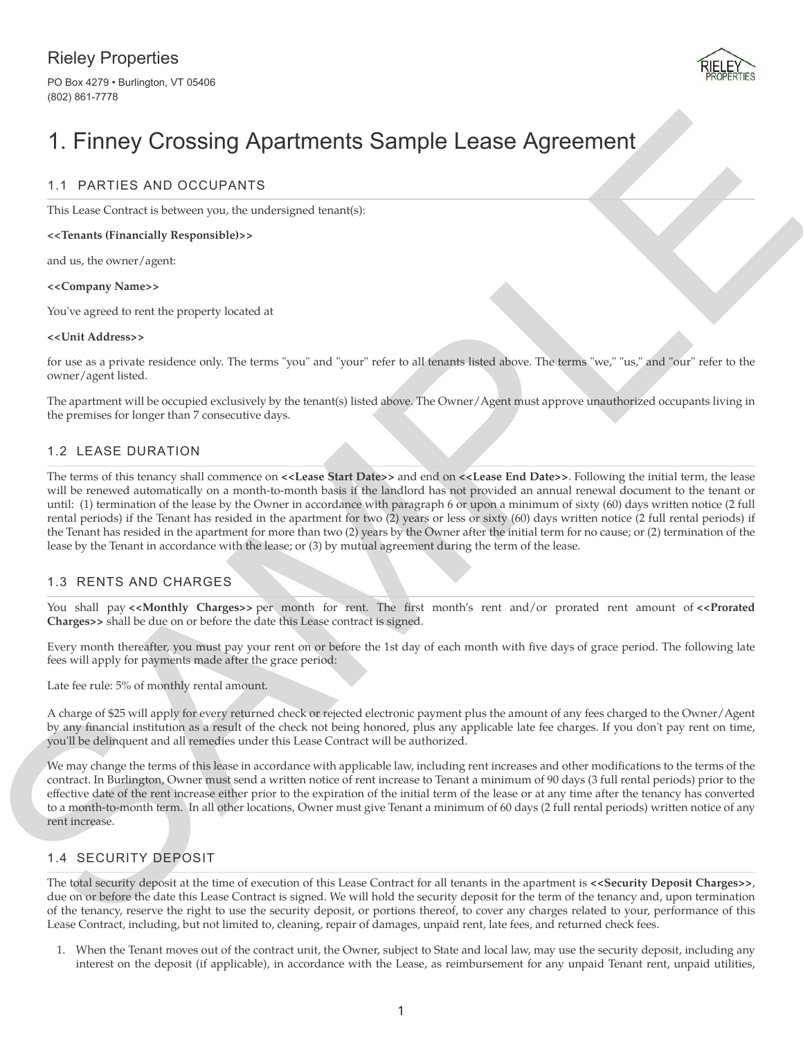# Rieley Properties

PO Box 4279 • Burlington, VT 05406 (802) 861-7778



# 1. Finney Crossing Apartments Sample Lease Agreement

# 1.1 PARTIES AND OCCUPANTS

This Lease Contract is between you, the undersigned tenant(s):

#### **<<Tenants (Financially Responsible)>>**

and us, the owner/agent:

#### **<<Company Name>>**

You've agreed to rent the property located at

#### **<<Unit Address>>**

for use as a private residence only. The terms "you" and "your" refer to all tenants listed above. The terms "we," "us," and "our" refer to the owner/agent listed.

The apartment will be occupied exclusively by the tenant(s) listed above. The Owner/Agent must approve unauthorized occupants living in the premises for longer than 7 consecutive days.

# 1.2 LEASE DURATION

1. FINDING VICOSSING Apartments Sample Lease Agreement<br>
1.1 PATIES AND OCUPANTS<br>
This hard Contract is harder production and the same production of the same product is the same of the same product is the same product in t The terms of this tenancy shall commence on **<<Lease Start Date>>** and end on **<<Lease End Date>>**. Following the initial term, the lease will be renewed automatically on a month-to-month basis if the landlord has not provided an annual renewal document to the tenant or until: (1) termination of the lease by the Owner in accordance with paragraph 6 or upon a minimum of sixty (60) days written notice (2 full rental periods) if the Tenant has resided in the apartment for two (2) years or less or sixty (60) days written notice (2 full rental periods) if the Tenant has resided in the apartment for more than two (2) years by the Owner after the initial term for no cause; or (2) termination of the lease by the Tenant in accordance with the lease; or (3) by mutual agreement during the term of the lease.

# 1.3 RENTS AND CHARGES

You shall pay <<Monthly Charges>> per month for rent. The first month's rent and/or prorated rent amount of <<Prorated **Charges>>** shall be due on or before the date this Lease contract is signed.

Every month thereafter, you must pay your rent on or before the 1st day of each month with five days of grace period. The following late fees will apply for payments made after the grace period:

Late fee rule: 5% of monthly rental amount.

A charge of \$25 will apply for every returned check or rejected electronic payment plus the amount of any fees charged to the Owner/Agent by any financial institution as a result of the check not being honored, plus any applicable late fee charges. If you don't pay rent on time, you'll be delinquent and all remedies under this Lease Contract will be authorized.

We may change the terms of this lease in accordance with applicable law, including rent increases and other modifications to the terms of the contract. In Burlington, Owner must send a written notice of rent increase to Tenant a minimum of 90 days (3 full rental periods) prior to the effective date of the rent increase either prior to the expiration of the initial term of the lease or at any time after the tenancy has converted to a month-to-month term. In all other locations, Owner must give Tenant a minimum of 60 days (2 full rental periods) written notice of any rent increase.

# 1.4 SECURITY DEPOSIT

The total security deposit at the time of execution of this Lease Contract for all tenants in the apartment is **<<Security Deposit Charges>>**, due on or before the date this Lease Contract is signed. We will hold the security deposit for the term of the tenancy and, upon termination of the tenancy, reserve the right to use the security deposit, or portions thereof, to cover any charges related to your, performance of this Lease Contract, including, but not limited to, cleaning, repair of damages, unpaid rent, late fees, and returned check fees.

1. When the Tenant moves out of the contract unit, the Owner, subject to State and local law, may use the security deposit, including any interest on the deposit (if applicable), in accordance with the Lease, as reimbursement for any unpaid Tenant rent, unpaid utilities,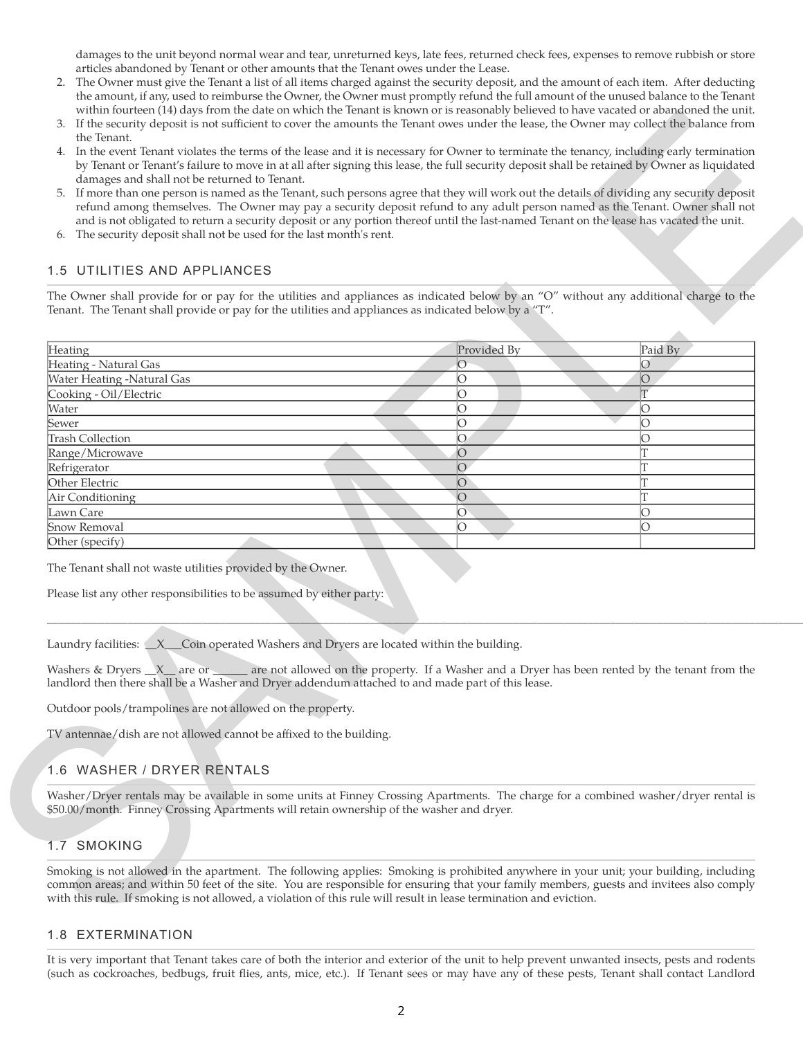damages to the unit beyond normal wear and tear, unreturned keys, late fees, returned check fees, expenses to remove rubbish or store articles abandoned by Tenant or other amounts that the Tenant owes under the Lease.

- 2. The Owner must give the Tenant a list of all items charged against the security deposit, and the amount of each item. After deducting the amount, if any, used to reimburse the Owner, the Owner must promptly refund the full amount of the unused balance to the Tenant within fourteen (14) days from the date on which the Tenant is known or is reasonably believed to have vacated or abandoned the unit.
- 3. If the security deposit is not sufficient to cover the amounts the Tenant owes under the lease, the Owner may collect the balance from the Tenant.
- 4. In the event Tenant violates the terms of the lease and it is necessary for Owner to terminate the tenancy, including early termination by Tenant or Tenant's failure to move in at all after signing this lease, the full security deposit shall be retained by Owner as liquidated damages and shall not be returned to Tenant.
- 5. If more than one person is named as the Tenant, such persons agree that they will work out the details of dividing any security deposit refund among themselves. The Owner may pay a security deposit refund to any adult person named as the Tenant. Owner shall not and is not obligated to return a security deposit or any portion thereof until the last-named Tenant on the lease has vacated the unit.
- 6. The security deposit shall not be used for the last month's rent.

# 1.5 UTILITIES AND APPLIANCES

| damages and shall not be returned to Tenant.<br>If more than one person is named as the Tenant, such persons agree that they will work out the details of dividing any security deposit<br>5.<br>refund among themselves. The Owner may pay a security deposit refund to any adult person named as the Tenant. Owner shall not<br>and is not obligated to return a security deposit or any portion thereof until the last-named Tenant on the lease has vacated the unit.<br>6. The security deposit shall not be used for the last month's rent.<br>UTILITIES AND APPLIANCES<br>1.5 | by Tenant or Tenant's failure to move in at all after signing this lease, the full security deposit shall be retained by Owner as liquidated |         |
|--------------------------------------------------------------------------------------------------------------------------------------------------------------------------------------------------------------------------------------------------------------------------------------------------------------------------------------------------------------------------------------------------------------------------------------------------------------------------------------------------------------------------------------------------------------------------------------|----------------------------------------------------------------------------------------------------------------------------------------------|---------|
| The Owner shall provide for or pay for the utilities and appliances as indicated below by an "O" without any additional charge to the<br>Tenant. The Tenant shall provide or pay for the utilities and appliances as indicated below by a "T".                                                                                                                                                                                                                                                                                                                                       |                                                                                                                                              |         |
| Heating                                                                                                                                                                                                                                                                                                                                                                                                                                                                                                                                                                              | Provided By                                                                                                                                  | Paid By |
| Heating - Natural Gas                                                                                                                                                                                                                                                                                                                                                                                                                                                                                                                                                                | $\circ$                                                                                                                                      | O       |
| Water Heating -Natural Gas                                                                                                                                                                                                                                                                                                                                                                                                                                                                                                                                                           | O                                                                                                                                            | $\circ$ |
| Cooking - Oil/Electric                                                                                                                                                                                                                                                                                                                                                                                                                                                                                                                                                               | $\overline{O}$                                                                                                                               | T       |
| Water                                                                                                                                                                                                                                                                                                                                                                                                                                                                                                                                                                                | O                                                                                                                                            | О       |
| Sewer                                                                                                                                                                                                                                                                                                                                                                                                                                                                                                                                                                                | $\circ$                                                                                                                                      | $\circ$ |
| <b>Trash Collection</b>                                                                                                                                                                                                                                                                                                                                                                                                                                                                                                                                                              | $\overline{O}$                                                                                                                               | O       |
| Range/Microwave                                                                                                                                                                                                                                                                                                                                                                                                                                                                                                                                                                      | $\overline{O}$                                                                                                                               | T       |
| Refrigerator                                                                                                                                                                                                                                                                                                                                                                                                                                                                                                                                                                         | $\overline{O}$                                                                                                                               | T       |
| Other Electric                                                                                                                                                                                                                                                                                                                                                                                                                                                                                                                                                                       | $\overline{O}$                                                                                                                               | T       |
| Air Conditioning                                                                                                                                                                                                                                                                                                                                                                                                                                                                                                                                                                     | $\overline{O}$                                                                                                                               | T       |
| Lawn Care                                                                                                                                                                                                                                                                                                                                                                                                                                                                                                                                                                            | $\circ$                                                                                                                                      | O       |
| Snow Removal                                                                                                                                                                                                                                                                                                                                                                                                                                                                                                                                                                         | O                                                                                                                                            | O       |
| Other (specify)                                                                                                                                                                                                                                                                                                                                                                                                                                                                                                                                                                      |                                                                                                                                              |         |
| Please list any other responsibilities to be assumed by either party:<br>Laundry facilities: X__Coin operated Washers and Dryers are located within the building.<br>Washers & Dryers X are or example are not allowed on the property. If a Washer and a Dryer has been rented by the tenant from the<br>landlord then there shall be a Washer and Dryer addendum attached to and made part of this lease.                                                                                                                                                                          |                                                                                                                                              |         |
| Outdoor pools/trampolines are not allowed on the property.<br>TV antennae/dish are not allowed cannot be affixed to the building.                                                                                                                                                                                                                                                                                                                                                                                                                                                    |                                                                                                                                              |         |
| 1.6 WASHER / DRYER RENTALS                                                                                                                                                                                                                                                                                                                                                                                                                                                                                                                                                           |                                                                                                                                              |         |
| Washer/Dryer rentals may be available in some units at Finney Crossing Apartments. The charge for a combined washer/dryer rental is<br>\$50.00/month. Finney Crossing Apartments will retain ownership of the washer and dryer.                                                                                                                                                                                                                                                                                                                                                      |                                                                                                                                              |         |
| 1.7 SMOKING                                                                                                                                                                                                                                                                                                                                                                                                                                                                                                                                                                          |                                                                                                                                              |         |

<u> Alexandro de la contrada de la contrada de la contrada de la contrada de la contrada de la contrada de la con</u>

# 1.6 WASHER / DRYER RENTALS

# 1.7 SMOKING

#### 1.8 EXTERMINATION

It is very important that Tenant takes care of both the interior and exterior of the unit to help prevent unwanted insects, pests and rodents (such as cockroaches, bedbugs, fruit flies, ants, mice, etc.). If Tenant sees or may have any of these pests, Tenant shall contact Landlord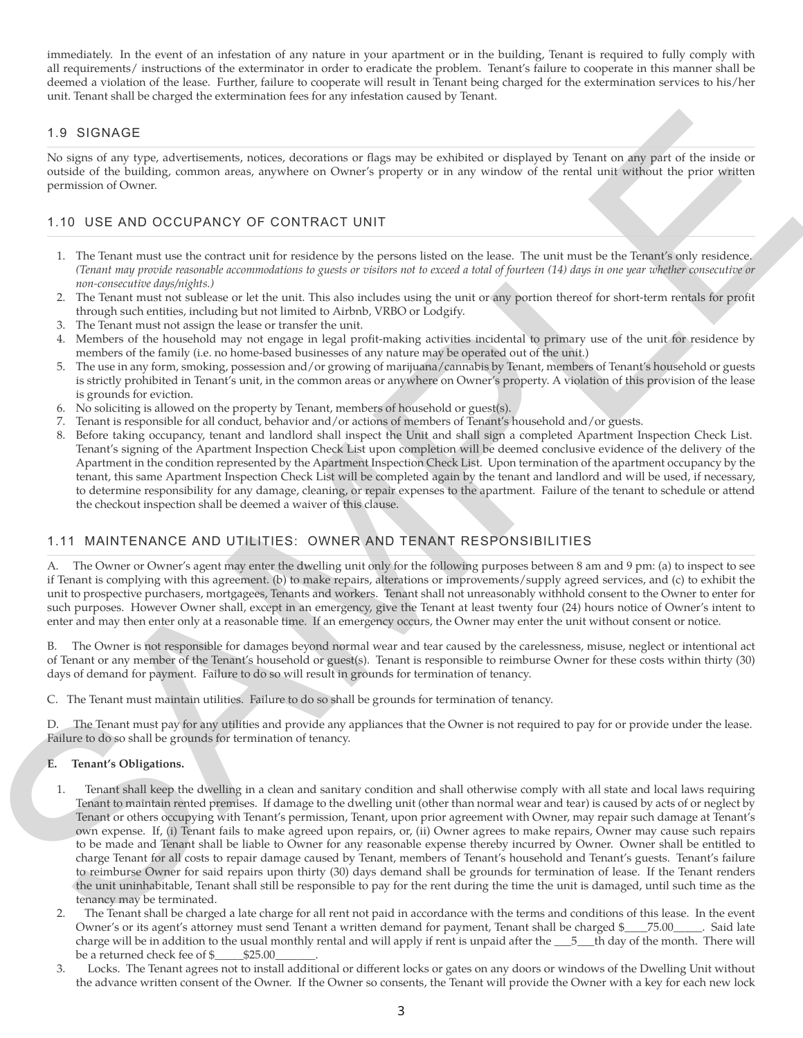immediately. In the event of an infestation of any nature in your apartment or in the building, Tenant is required to fully comply with all requirements/ instructions of the exterminator in order to eradicate the problem. Tenant's failure to cooperate in this manner shall be deemed a violation of the lease. Further, failure to cooperate will result in Tenant being charged for the extermination services to his/her unit. Tenant shall be charged the extermination fees for any infestation caused by Tenant.

# 1.9 SIGNAGE

No signs of any type, advertisements, notices, decorations or flags may be exhibited or displayed by Tenant on any part of the inside or outside of the building, common areas, anywhere on Owner's property or in any window of the rental unit without the prior written permission of Owner.

#### 1.10 USE AND OCCUPANCY OF CONTRACT UNIT

- 1. The Tenant must use the contract unit for residence by the persons listed on the lease. The unit must be the Tenant's only residence. *(Tenant may provide reasonable accommodations to guests or visitors not to exceed a total of fourteen (14) days in one year whether consecutive or non-consecutive days/nights.)*
- 2. The Tenant must not sublease or let the unit. This also includes using the unit or any portion thereof for short-term rentals for profit through such entities, including but not limited to Airbnb, VRBO or Lodgify.
- 3. The Tenant must not assign the lease or transfer the unit.
- 4. Members of the household may not engage in legal profit-making activities incidental to primary use of the unit for residence by members of the family (i.e. no home-based businesses of any nature may be operated out of the unit.)
- 5. The use in any form, smoking, possession and/or growing of marijuana/cannabis by Tenant, members of Tenant's household or guests is strictly prohibited in Tenant's unit, in the common areas or anywhere on Owner's property. A violation of this provision of the lease is grounds for eviction.
- 6. No soliciting is allowed on the property by Tenant, members of household or guest(s).
- 7. Tenant is responsible for all conduct, behavior and/or actions of members of Tenant's household and/or guests.
- 8. Before taking occupancy, tenant and landlord shall inspect the Unit and shall sign a completed Apartment Inspection Check List. Tenant's signing of the Apartment Inspection Check List upon completion will be deemed conclusive evidence of the delivery of the Apartment in the condition represented by the Apartment Inspection Check List. Upon termination of the apartment occupancy by the tenant, this same Apartment Inspection Check List will be completed again by the tenant and landlord and will be used, if necessary, to determine responsibility for any damage, cleaning, or repair expenses to the apartment. Failure of the tenant to schedule or attend the checkout inspection shall be deemed a waiver of this clause.

# 1.11 MAINTENANCE AND UTILITIES: OWNER AND TENANT RESPONSIBILITIES

The Owner or Owner's agent may enter the dwelling unit only for the following purposes between 8 am and 9 pm: (a) to inspect to see if Tenant is complying with this agreement. (b) to make repairs, alterations or improvements/supply agreed services, and (c) to exhibit the unit to prospective purchasers, mortgagees, Tenants and workers. Tenant shall not unreasonably withhold consent to the Owner to enter for such purposes. However Owner shall, except in an emergency, give the Tenant at least twenty four (24) hours notice of Owner's intent to enter and may then enter only at a reasonable time. If an emergency occurs, the Owner may enter the unit without consent or notice.

The Owner is not responsible for damages beyond normal wear and tear caused by the carelessness, misuse, neglect or intentional act of Tenant or any member of the Tenant's household or guest(s). Tenant is responsible to reimburse Owner for these costs within thirty (30) days of demand for payment. Failure to do so will result in grounds for termination of tenancy.

C. The Tenant must maintain utilities. Failure to do so shall be grounds for termination of tenancy.

D. The Tenant must pay for any utilities and provide any appliances that the Owner is not required to pay for or provide under the lease. Failure to do so shall be grounds for termination of tenancy.

#### **E. Tenant's Obligations.**

- 1.9 SIGNAGE<br>
Novelle and the solution material material material material material material material material material material material material material material material material material material material material mat 1. Tenant shall keep the dwelling in a clean and sanitary condition and shall otherwise comply with all state and local laws requiring Tenant to maintain rented premises. If damage to the dwelling unit (other than normal wear and tear) is caused by acts of or neglect by Tenant or others occupying with Tenant's permission, Tenant, upon prior agreement with Owner, may repair such damage at Tenant's own expense. If, (i) Tenant fails to make agreed upon repairs, or, (ii) Owner agrees to make repairs, Owner may cause such repairs to be made and Tenant shall be liable to Owner for any reasonable expense thereby incurred by Owner. Owner shall be entitled to charge Tenant for all costs to repair damage caused by Tenant, members of Tenant's household and Tenant's guests. Tenant's failure to reimburse Owner for said repairs upon thirty (30) days demand shall be grounds for termination of lease. If the Tenant renders the unit uninhabitable, Tenant shall still be responsible to pay for the rent during the time the unit is damaged, until such time as the tenancy may be terminated.
	- 2. The Tenant shall be charged a late charge for all rent not paid in accordance with the terms and conditions of this lease. In the event Owner's or its agent's attorney must send Tenant a written demand for payment, Tenant shall be charged \$\_\_\_\_75.00\_\_\_\_\_. Said late charge will be in addition to the usual monthly rental and will apply if rent is unpaid after the \_\_\_5\_\_\_th day of the month. There will be a returned check fee of \$\_\_\_\_\_\$25.00\_\_\_\_\_\_\_.
	- 3. Locks. The Tenant agrees not to install additional or different locks or gates on any doors or windows of the Dwelling Unit without the advance written consent of the Owner. If the Owner so consents, the Tenant will provide the Owner with a key for each new lock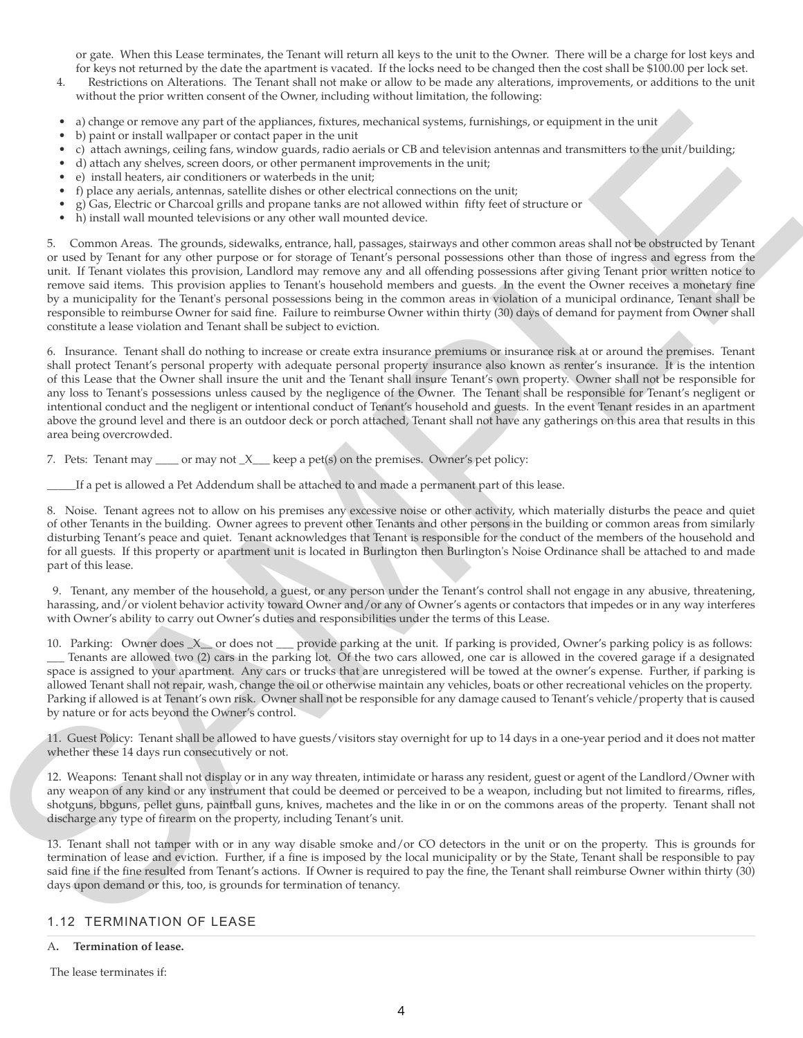or gate. When this Lease terminates, the Tenant will return all keys to the unit to the Owner. There will be a charge for lost keys and for keys not returned by the date the apartment is vacated. If the locks need to be changed then the cost shall be \$100.00 per lock set.

- 4. Restrictions on Alterations. The Tenant shall not make or allow to be made any alterations, improvements, or additions to the unit without the prior written consent of the Owner, including without limitation, the following:
- a) change or remove any part of the appliances, fixtures, mechanical systems, furnishings, or equipment in the unit
- b) paint or install wallpaper or contact paper in the unit
- c) attach awnings, ceiling fans, window guards, radio aerials or CB and television antennas and transmitters to the unit/building;
- d) attach any shelves, screen doors, or other permanent improvements in the unit;
- e) install heaters, air conditioners or waterbeds in the unit;
- f) place any aerials, antennas, satellite dishes or other electrical connections on the unit;
- g) Gas, Electric or Charcoal grills and propane tanks are not allowed within fifty feet of structure or
- h) install wall mounted televisions or any other wall mounted device.

A constraint of the spin of the spin of the spin of solven and spin of solven and spin of the spin of the spin of the spin of the spin of the spin of the spin of the spin of the spin of the spin of the spin of the spin of 5. Common Areas. The grounds, sidewalks, entrance, hall, passages, stairways and other common areas shall not be obstructed by Tenant or used by Tenant for any other purpose or for storage of Tenant's personal possessions other than those of ingress and egress from the unit. If Tenant violates this provision, Landlord may remove any and all offending possessions after giving Tenant prior written notice to remove said items. This provision applies to Tenant's household members and guests. In the event the Owner receives a monetary fine by a municipality for the Tenant's personal possessions being in the common areas in violation of a municipal ordinance, Tenant shall be responsible to reimburse Owner for said fine. Failure to reimburse Owner within thirty (30) days of demand for payment from Owner shall constitute a lease violation and Tenant shall be subject to eviction.

6. Insurance. Tenant shall do nothing to increase or create extra insurance premiums or insurance risk at or around the premises. Tenant shall protect Tenant's personal property with adequate personal property insurance also known as renter's insurance. It is the intention of this Lease that the Owner shall insure the unit and the Tenant shall insure Tenant's own property. Owner shall not be responsible for any loss to Tenant's possessions unless caused by the negligence of the Owner. The Tenant shall be responsible for Tenant's negligent or intentional conduct and the negligent or intentional conduct of Tenant's household and guests. In the event Tenant resides in an apartment above the ground level and there is an outdoor deck or porch attached, Tenant shall not have any gatherings on this area that results in this area being overcrowded.

7. Pets: Tenant may \_\_\_\_ or may not \_X\_\_\_ keep a pet(s) on the premises. Owner's pet policy:

If a pet is allowed a Pet Addendum shall be attached to and made a permanent part of this lease.

8. Noise. Tenant agrees not to allow on his premises any excessive noise or other activity, which materially disturbs the peace and quiet of other Tenants in the building. Owner agrees to prevent other Tenants and other persons in the building or common areas from similarly disturbing Tenant's peace and quiet. Tenant acknowledges that Tenant is responsible for the conduct of the members of the household and for all guests. If this property or apartment unit is located in Burlington then Burlington's Noise Ordinance shall be attached to and made part of this lease.

9. Tenant, any member of the household, a guest, or any person under the Tenant's control shall not engage in any abusive, threatening, harassing, and/or violent behavior activity toward Owner and/or any of Owner's agents or contactors that impedes or in any way interferes with Owner's ability to carry out Owner's duties and responsibilities under the terms of this Lease.

10. Parking: Owner does \_X\_\_ or does not \_\_\_ provide parking at the unit. If parking is provided, Owner's parking policy is as follows: \_\_\_ Tenants are allowed two (2) cars in the parking lot. Of the two cars allowed, one car is allowed in the covered garage if a designated space is assigned to your apartment. Any cars or trucks that are unregistered will be towed at the owner's expense. Further, if parking is allowed Tenant shall not repair, wash, change the oil or otherwise maintain any vehicles, boats or other recreational vehicles on the property. Parking if allowed is at Tenant's own risk. Owner shall not be responsible for any damage caused to Tenant's vehicle/property that is caused by nature or for acts beyond the Owner's control.

11. Guest Policy: Tenant shall be allowed to have guests/visitors stay overnight for up to 14 days in a one-year period and it does not matter whether these 14 days run consecutively or not.

12. Weapons: Tenant shall not display or in any way threaten, intimidate or harass any resident, guest or agent of the Landlord/Owner with any weapon of any kind or any instrument that could be deemed or perceived to be a weapon, including but not limited to firearms, rifles, shotguns, bbguns, pellet guns, paintball guns, knives, machetes and the like in or on the commons areas of the property. Tenant shall not discharge any type of firearm on the property, including Tenant's unit.

13. Tenant shall not tamper with or in any way disable smoke and/or CO detectors in the unit or on the property. This is grounds for termination of lease and eviction. Further, if a fine is imposed by the local municipality or by the State, Tenant shall be responsible to pay said fine if the fine resulted from Tenant's actions. If Owner is required to pay the fine, the Tenant shall reimburse Owner within thirty (30) days upon demand or this, too, is grounds for termination of tenancy.

#### 1.12 TERMINATION OF LEASE

A**. Termination of lease.**

The lease terminates if: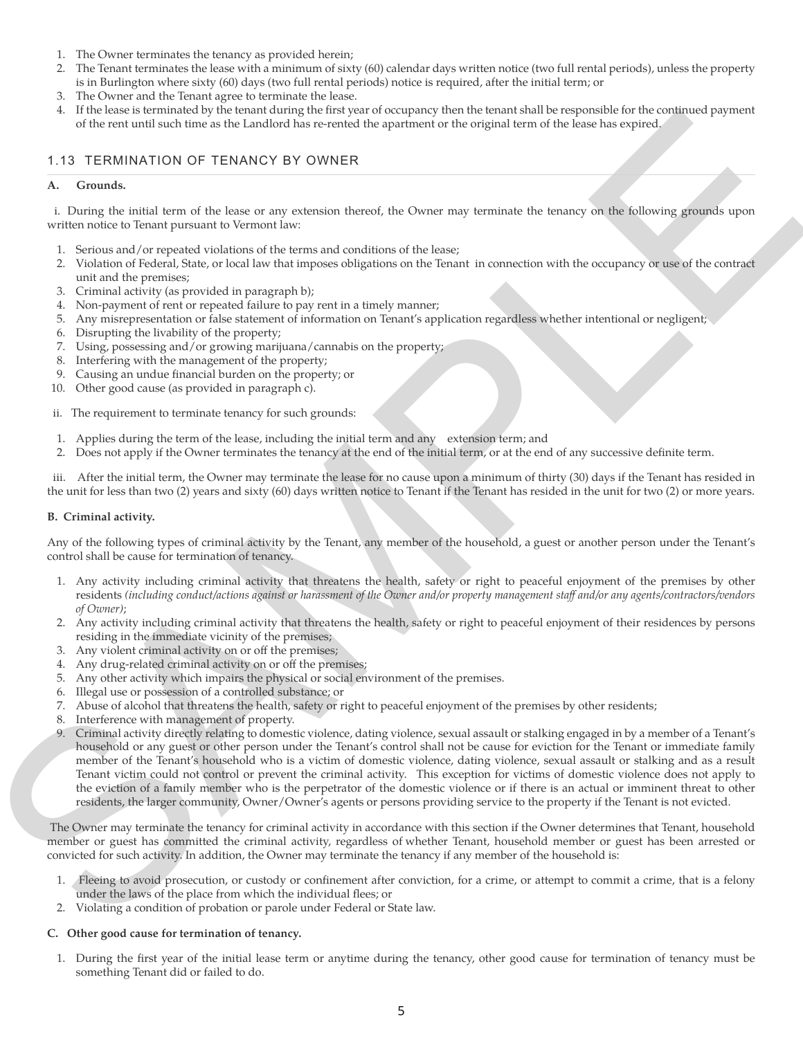- 1. The Owner terminates the tenancy as provided herein;
- 2. The Tenant terminates the lease with a minimum of sixty (60) calendar days written notice (two full rental periods), unless the property is in Burlington where sixty (60) days (two full rental periods) notice is required, after the initial term; or
- 3. The Owner and the Tenant agree to terminate the lease.
- 4. If the lease is terminated by the tenant during the first year of occupancy then the tenant shall be responsible for the continued payment of the rent until such time as the Landlord has re-rented the apartment or the original term of the lease has expired.

#### 1.13 TERMINATION OF TENANCY BY OWNER

#### **A. Grounds.**

i. During the initial term of the lease or any extension thereof, the Owner may terminate the tenancy on the following grounds upon written notice to Tenant pursuant to Vermont law:

- 1. Serious and/or repeated violations of the terms and conditions of the lease;
- 2. Violation of Federal, State, or local law that imposes obligations on the Tenant in connection with the occupancy or use of the contract unit and the premises;
- 3. Criminal activity (as provided in paragraph b);
- 4. Non-payment of rent or repeated failure to pay rent in a timely manner;
- 5. Any misrepresentation or false statement of information on Tenant's application regardless whether intentional or negligent;
- 6. Disrupting the livability of the property;
- 7. Using, possessing and/or growing marijuana/cannabis on the property;
- 8. Interfering with the management of the property;
- 9. Causing an undue financial burden on the property; or
- 10. Other good cause (as provided in paragraph c).
- ii. The requirement to terminate tenancy for such grounds:
- 1. Applies during the term of the lease, including the initial term and any extension term; and
- 2. Does not apply if the Owner terminates the tenancy at the end of the initial term, or at the end of any successive definite term.

iii. After the initial term, the Owner may terminate the lease for no cause upon a minimum of thirty (30) days if the Tenant has resided in the unit for less than two (2) years and sixty (60) days written notice to Tenant if the Tenant has resided in the unit for two (2) or more years.

#### **B. Criminal activity.**

Any of the following types of criminal activity by the Tenant, any member of the household, a guest or another person under the Tenant's control shall be cause for termination of tenancy.

- 1. Any activity including criminal activity that threatens the health, safety or right to peaceful enjoyment of the premises by other residents *(including conduct/actions against or harassment of the Owner and/or property management staff and/or any agents/contractors/vendors of Owner)*;
- 2. Any activity including criminal activity that threatens the health, safety or right to peaceful enjoyment of their residences by persons residing in the immediate vicinity of the premises;
- 3. Any violent criminal activity on or off the premises;
- 4. Any drug-related criminal activity on or off the premises;
- 5. Any other activity which impairs the physical or social environment of the premises.
- 6. Illegal use or possession of a controlled substance; or
- 7. Abuse of alcohol that threatens the health, safety or right to peaceful enjoyment of the premises by other residents;
- 8. Interference with management of property.
- S. The bosonic transformation is the transformation of the property interaction is the following the state of the state of the state of the state of the state of the state of the state of the state of the state of the sta 9. Criminal activity directly relating to domestic violence, dating violence, sexual assault or stalking engaged in by a member of a Tenant's household or any guest or other person under the Tenant's control shall not be cause for eviction for the Tenant or immediate family member of the Tenant's household who is a victim of domestic violence, dating violence, sexual assault or stalking and as a result Tenant victim could not control or prevent the criminal activity. This exception for victims of domestic violence does not apply to the eviction of a family member who is the perpetrator of the domestic violence or if there is an actual or imminent threat to other residents, the larger community, Owner/Owner's agents or persons providing service to the property if the Tenant is not evicted.

The Owner may terminate the tenancy for criminal activity in accordance with this section if the Owner determines that Tenant, household member or guest has committed the criminal activity, regardless of whether Tenant, household member or guest has been arrested or convicted for such activity. In addition, the Owner may terminate the tenancy if any member of the household is:

- 1. Fleeing to avoid prosecution, or custody or confinement after conviction, for a crime, or attempt to commit a crime, that is a felony under the laws of the place from which the individual flees; or
- 2. Violating a condition of probation or parole under Federal or State law.

#### **C. Other good cause for termination of tenancy.**

1. During the first year of the initial lease term or anytime during the tenancy, other good cause for termination of tenancy must be something Tenant did or failed to do.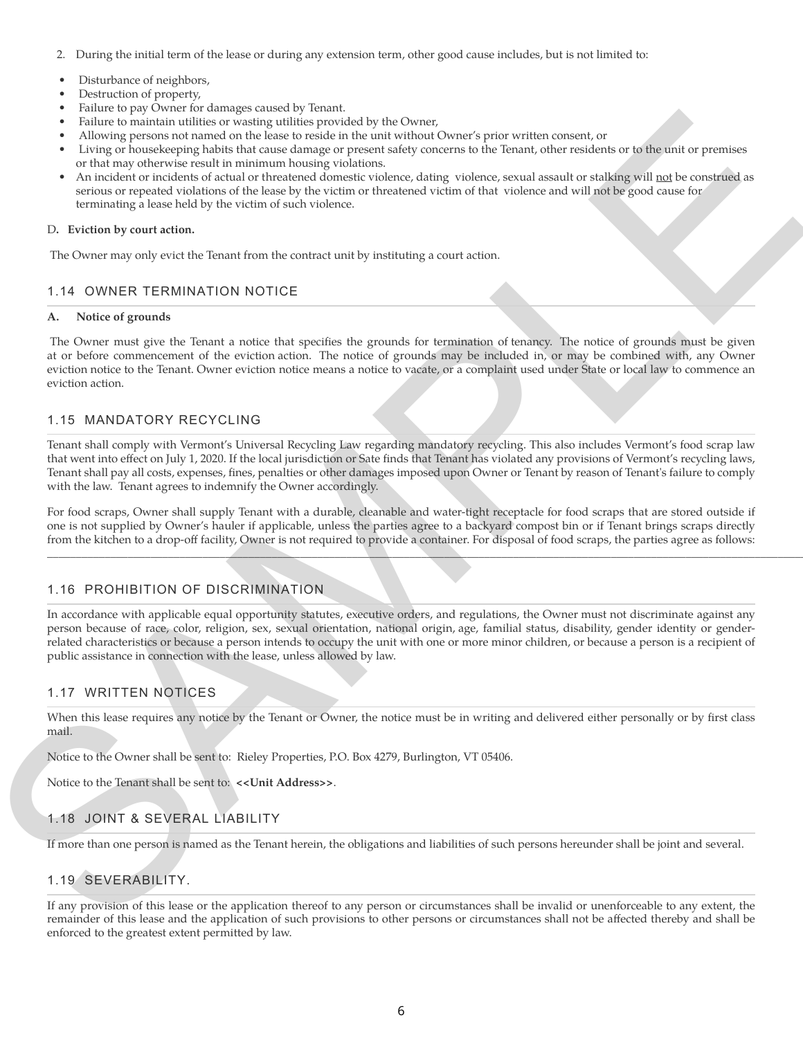- 2. During the initial term of the lease or during any extension term, other good cause includes, but is not limited to:
- Disturbance of neighbors,
- Destruction of property,
- Failure to pay Owner for damages caused by Tenant.
- Failure to maintain utilities or wasting utilities provided by the Owner,
- Allowing persons not named on the lease to reside in the unit without Owner's prior written consent, or
- Living or housekeeping habits that cause damage or present safety concerns to the Tenant, other residents or to the unit or premises or that may otherwise result in minimum housing violations.
- An incident or incidents of actual or threatened domestic violence, dating violence, sexual assault or stalking will not be construed as serious or repeated violations of the lease by the victim or threatened victim of that violence and will not be good cause for terminating a lease held by the victim of such violence.

#### D**. Eviction by court action.**

The Owner may only evict the Tenant from the contract unit by instituting a court action.

#### 1.14 OWNER TERMINATION NOTICE

#### **A. Notice of grounds**

The Owner must give the Tenant a notice that specifies the grounds for termination of tenancy. The notice of grounds must be given at or before commencement of the eviction action. The notice of grounds may be included in, or may be combined with, any Owner eviction notice to the Tenant. Owner eviction notice means a notice to vacate, or a complaint used under State or local law to commence an eviction action.

#### 1.15 MANDATORY RECYCLING

Tenant shall comply with Vermont's Universal Recycling Law regarding mandatory recycling. This also includes Vermont's food scrap law that went into effect on July 1, 2020. If the local jurisdiction or Sate finds that Tenant has violated any provisions of Vermont's recycling laws, Tenant shall pay all costs, expenses, fines, penalties or other damages imposed upon Owner or Tenant by reason of Tenant's failure to comply with the law. Tenant agrees to indemnify the Owner accordingly.

For food scraps, Owner shall supply Tenant with a durable, cleanable and water-tight receptacle for food scraps that are stored outside if one is not supplied by Owner's hauler if applicable, unless the parties agree to a backyard compost bin or if Tenant brings scraps directly from the kitchen to a drop-off facility, Owner is not required to provide a container. For disposal of food scraps, the parties agree as follows:

\_\_\_\_\_\_\_\_\_\_\_\_\_\_\_\_\_\_\_\_\_\_\_\_\_\_\_\_\_\_\_\_\_\_\_\_\_\_\_\_\_\_\_\_\_\_\_\_\_\_\_\_\_\_\_\_\_\_\_\_\_\_\_\_\_\_\_\_\_\_\_\_\_\_\_\_\_\_\_\_\_\_\_\_\_\_\_\_\_\_\_\_\_\_\_\_\_\_\_\_\_\_\_\_\_\_\_\_\_\_\_\_\_\_\_\_\_\_\_\_\_\_\_\_\_\_\_\_\_\_\_\_\_\_\_\_\_\_\_\_\_\_\_\_\_\_\_\_\_\_.

#### 1.16 PROHIBITION OF DISCRIMINATION

From the power and another strength are the strength of the costs, and in the strength of the strength of the strength of the strength of the strength of the strength of the strength of the strength of the strength of the In accordance with applicable equal opportunity statutes, executive orders, and regulations, the Owner must not discriminate against any person because of race, color, religion, sex, sexual orientation, national origin, age, familial status, disability, gender identity or genderrelated characteristics or because a person intends to occupy the unit with one or more minor children, or because a person is a recipient of public assistance in connection with the lease, unless allowed by law.

#### 1.17 WRITTEN NOTICES

When this lease requires any notice by the Tenant or Owner, the notice must be in writing and delivered either personally or by first class mail.

Notice to the Owner shall be sent to: Rieley Properties, P.O. Box 4279, Burlington, VT 05406.

Notice to the Tenant shall be sent to: **<<Unit Address>>**.

# 1.18 JOINT & SEVERAL LIABILITY

If more than one person is named as the Tenant herein, the obligations and liabilities of such persons hereunder shall be joint and several.

# 1.19 SEVERABILITY.

If any provision of this lease or the application thereof to any person or circumstances shall be invalid or unenforceable to any extent, the remainder of this lease and the application of such provisions to other persons or circumstances shall not be affected thereby and shall be enforced to the greatest extent permitted by law.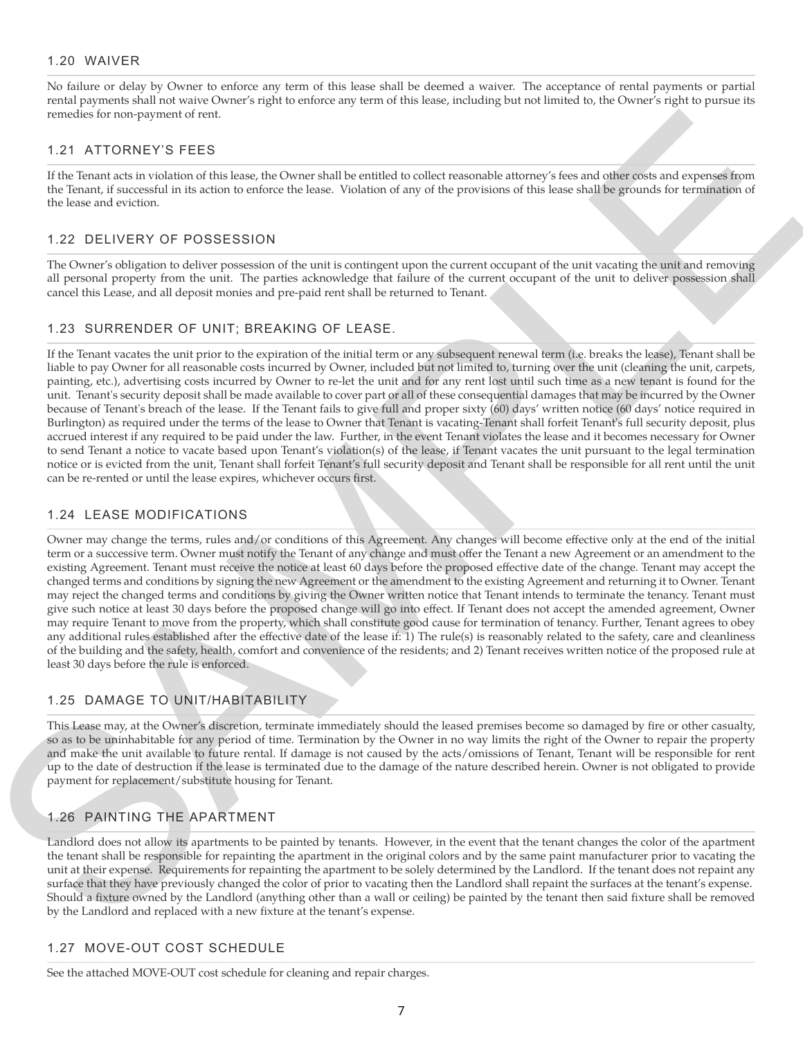#### 1.20 WAIVER

No failure or delay by Owner to enforce any term of this lease shall be deemed a waiver. The acceptance of rental payments or partial rental payments shall not waive Owner's right to enforce any term of this lease, including but not limited to, the Owner's right to pursue its remedies for non-payment of rent.

#### 1.21 ATTORNEY'S FEES

If the Tenant acts in violation of this lease, the Owner shall be entitled to collect reasonable attorney's fees and other costs and expenses from the Tenant, if successful in its action to enforce the lease. Violation of any of the provisions of this lease shall be grounds for termination of the lease and eviction.

# 1.22 DELIVERY OF POSSESSION

The Owner's obligation to deliver possession of the unit is contingent upon the current occupant of the unit vacating the unit and removing all personal property from the unit. The parties acknowledge that failure of the current occupant of the unit to deliver possession shall cancel this Lease, and all deposit monies and pre-paid rent shall be returned to Tenant.

# 1.23 SURRENDER OF UNIT; BREAKING OF LEASE.

1.2 A TTORNEY 9 FECS.<br>
1.2 ATTORNEY 9 FECS (2001). The same of the control of the relationship is a state of the same of the same of the same of the same of the same of the same of the same of the same of the same of the s If the Tenant vacates the unit prior to the expiration of the initial term or any subsequent renewal term (i.e. breaks the lease), Tenant shall be liable to pay Owner for all reasonable costs incurred by Owner, included but not limited to, turning over the unit (cleaning the unit, carpets, painting, etc.), advertising costs incurred by Owner to re-let the unit and for any rent lost until such time as a new tenant is found for the unit. Tenant's security deposit shall be made available to cover part or all of these consequential damages that may be incurred by the Owner because of Tenant's breach of the lease. If the Tenant fails to give full and proper sixty (60) days' written notice (60 days' notice required in Burlington) as required under the terms of the lease to Owner that Tenant is vacating-Tenant shall forfeit Tenant's full security deposit, plus accrued interest if any required to be paid under the law. Further, in the event Tenant violates the lease and it becomes necessary for Owner to send Tenant a notice to vacate based upon Tenant's violation(s) of the lease, if Tenant vacates the unit pursuant to the legal termination notice or is evicted from the unit, Tenant shall forfeit Tenant's full security deposit and Tenant shall be responsible for all rent until the unit can be re-rented or until the lease expires, whichever occurs first.

# 1.24 LEASE MODIFICATIONS

Owner may change the terms, rules and/or conditions of this Agreement. Any changes will become effective only at the end of the initial term or a successive term. Owner must notify the Tenant of any change and must offer the Tenant a new Agreement or an amendment to the existing Agreement. Tenant must receive the notice at least 60 days before the proposed effective date of the change. Tenant may accept the changed terms and conditions by signing the new Agreement or the amendment to the existing Agreement and returning it to Owner. Tenant may reject the changed terms and conditions by giving the Owner written notice that Tenant intends to terminate the tenancy. Tenant must give such notice at least 30 days before the proposed change will go into effect. If Tenant does not accept the amended agreement, Owner may require Tenant to move from the property, which shall constitute good cause for termination of tenancy. Further, Tenant agrees to obey any additional rules established after the effective date of the lease if: 1) The rule(s) is reasonably related to the safety, care and cleanliness of the building and the safety, health, comfort and convenience of the residents; and 2) Tenant receives written notice of the proposed rule at least 30 days before the rule is enforced.

# 1.25 DAMAGE TO UNIT/HABITABILITY

This Lease may, at the Owner's discretion, terminate immediately should the leased premises become so damaged by fire or other casualty, so as to be uninhabitable for any period of time. Termination by the Owner in no way limits the right of the Owner to repair the property and make the unit available to future rental. If damage is not caused by the acts/omissions of Tenant, Tenant will be responsible for rent up to the date of destruction if the lease is terminated due to the damage of the nature described herein. Owner is not obligated to provide payment for replacement/substitute housing for Tenant.

# 1.26 PAINTING THE APARTMENT

Landlord does not allow its apartments to be painted by tenants. However, in the event that the tenant changes the color of the apartment the tenant shall be responsible for repainting the apartment in the original colors and by the same paint manufacturer prior to vacating the unit at their expense. Requirements for repainting the apartment to be solely determined by the Landlord. If the tenant does not repaint any surface that they have previously changed the color of prior to vacating then the Landlord shall repaint the surfaces at the tenant's expense. Should a fixture owned by the Landlord (anything other than a wall or ceiling) be painted by the tenant then said fixture shall be removed by the Landlord and replaced with a new fixture at the tenant's expense.

# 1.27 MOVE-OUT COST SCHEDULE

See the attached MOVE-OUT cost schedule for cleaning and repair charges.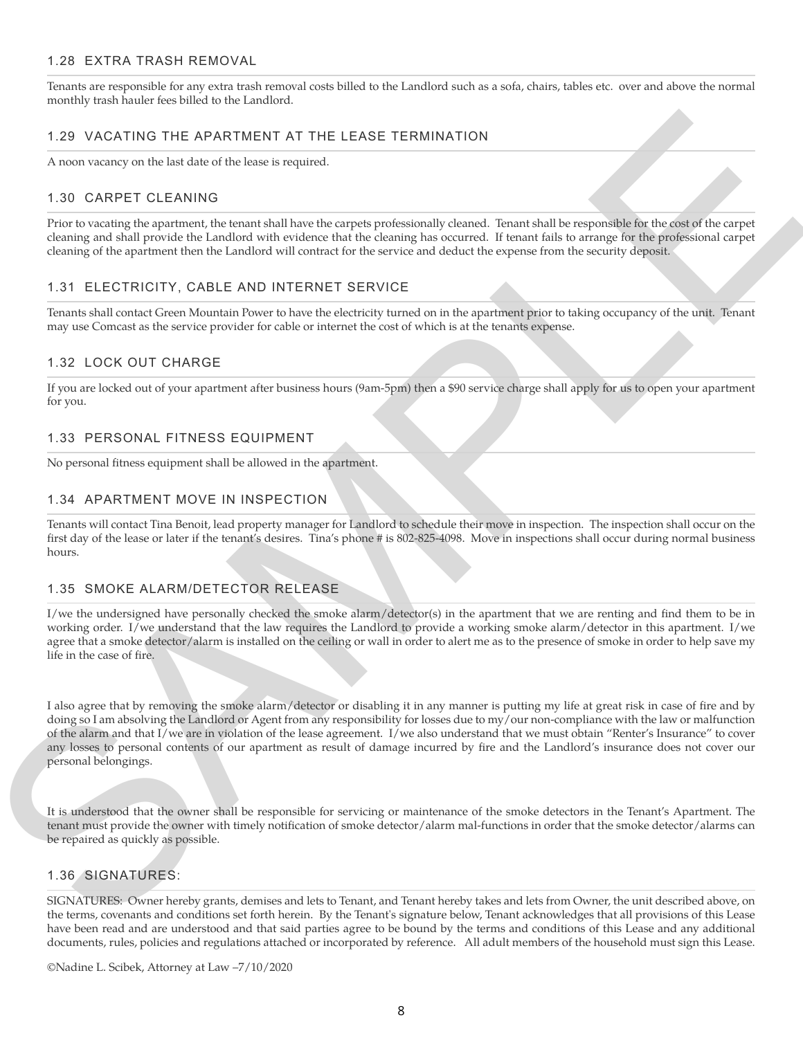# 1.28 EXTRA TRASH REMOVAL

Tenants are responsible for any extra trash removal costs billed to the Landlord such as a sofa, chairs, tables etc. over and above the normal monthly trash hauler fees billed to the Landlord.

# 1.29 VACATING THE APARTMENT AT THE LEASE TERMINATION

A noon vacancy on the last date of the lease is required.

# 1.30 CARPET CLEANING

Prior to vacating the apartment, the tenant shall have the carpets professionally cleaned. Tenant shall be responsible for the cost of the carpet cleaning and shall provide the Landlord with evidence that the cleaning has occurred. If tenant fails to arrange for the professional carpet cleaning of the apartment then the Landlord will contract for the service and deduct the expense from the security deposit.

#### 1.31 ELECTRICITY, CABLE AND INTERNET SERVICE

Tenants shall contact Green Mountain Power to have the electricity turned on in the apartment prior to taking occupancy of the unit. Tenant may use Comcast as the service provider for cable or internet the cost of which is at the tenants expense.

#### 1.32 LOCK OUT CHARGE

If you are locked out of your apartment after business hours (9am-5pm) then a \$90 service charge shall apply for us to open your apartment for you.

#### 1.33 PERSONAL FITNESS EQUIPMENT

No personal fitness equipment shall be allowed in the apartment.

# 1.34 APARTMENT MOVE IN INSPECTION

Tenants will contact Tina Benoit, lead property manager for Landlord to schedule their move in inspection. The inspection shall occur on the first day of the lease or later if the tenant's desires. Tina's phone # is 802-825-4098. Move in inspections shall occur during normal business hours.

#### 1.35 SMOKE ALARM/DETECTOR RELEASE

I/we the undersigned have personally checked the smoke alarm/detector(s) in the apartment that we are renting and find them to be in working order. I/we understand that the law requires the Landlord to provide a working smoke alarm/detector in this apartment. I/we agree that a smoke detector/alarm is installed on the ceiling or wall in order to alert me as to the presence of smoke in order to help save my life in the case of fire.

1.20 VACATING THE APARTMENT AT THE LEASE TERMINATION<br>
A associated of the Maria Collective Base angulax<br>
1.30 CARSET CLEANING Comparison the strength interdependent professional commutive between the strength and the compa I also agree that by removing the smoke alarm/detector or disabling it in any manner is putting my life at great risk in case of fire and by doing so I am absolving the Landlord or Agent from any responsibility for losses due to my/our non-compliance with the law or malfunction of the alarm and that I/we are in violation of the lease agreement. I/we also understand that we must obtain "Renter's Insurance" to cover any losses to personal contents of our apartment as result of damage incurred by fire and the Landlord's insurance does not cover our personal belongings.

It is understood that the owner shall be responsible for servicing or maintenance of the smoke detectors in the Tenant's Apartment. The tenant must provide the owner with timely notification of smoke detector/alarm mal-functions in order that the smoke detector/alarms can be repaired as quickly as possible.

#### 1.36 SIGNATURES:

SIGNATURES: Owner hereby grants, demises and lets to Tenant, and Tenant hereby takes and lets from Owner, the unit described above, on the terms, covenants and conditions set forth herein. By the Tenant's signature below, Tenant acknowledges that all provisions of this Lease have been read and are understood and that said parties agree to be bound by the terms and conditions of this Lease and any additional documents, rules, policies and regulations attached or incorporated by reference. All adult members of the household must sign this Lease.

©Nadine L. Scibek, Attorney at Law –7/10/2020